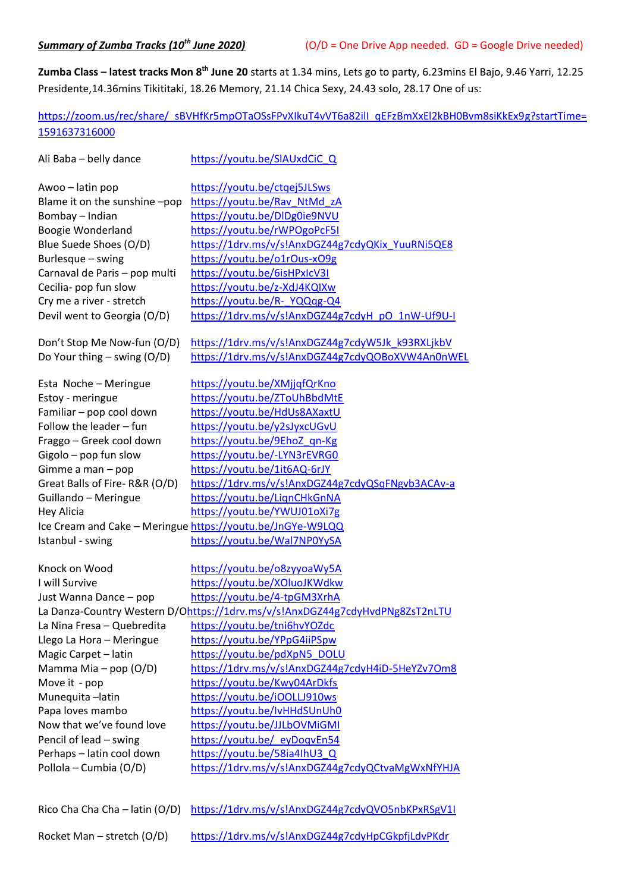**Zumba Class – latest tracks Mon 8th June 20** starts at 1.34 mins, Lets go to party, 6.23mins El Bajo, 9.46 Yarri, 12.25 Presidente,14.36mins Tikititaki, 18.26 Memory, 21.14 Chica Sexy, 24.43 solo, 28.17 One of us:

[https://zoom.us/rec/share/\\_sBVHfKr5mpOTaOSsFPvXIkuT4vVT6a82ilI\\_qEFzBmXxEl2kBH0Bvm8siKkEx9g?startTime=](https://zoom.us/rec/share/_sBVHfKr5mpOTaOSsFPvXIkuT4vVT6a82ilI_qEFzBmXxEl2kBH0Bvm8siKkEx9g?startTime=1591637316000) [1591637316000](https://zoom.us/rec/share/_sBVHfKr5mpOTaOSsFPvXIkuT4vVT6a82ilI_qEFzBmXxEl2kBH0Bvm8siKkEx9g?startTime=1591637316000)

| Ali Baba - belly dance        | https://youtu.be/SIAUxdCiCQ                                                     |
|-------------------------------|---------------------------------------------------------------------------------|
| Awoo - latin pop              | https://youtu.be/ctgej5JLSws                                                    |
| Blame it on the sunshine-pop  | https://youtu.be/Rav NtMd zA                                                    |
| Bombay - Indian               | https://youtu.be/DIDg0ie9NVU                                                    |
| Boogie Wonderland             | https://youtu.be/rWPOgoPcF5I                                                    |
| Blue Suede Shoes (O/D)        | https://1drv.ms/v/s!AnxDGZ44g7cdyQKix YuuRNi5QE8                                |
| Burlesque - swing             | https://youtu.be/o1rOus-xO9g                                                    |
| Carnaval de Paris - pop multi | https://youtu.be/6isHPxIcV3I                                                    |
| Cecilia- pop fun slow         | https://youtu.be/z-XdJ4KQIXw                                                    |
| Cry me a river - stretch      | https://youtu.be/R-YQQqg-Q4                                                     |
| Devil went to Georgia (O/D)   | https://1drv.ms/v/s!AnxDGZ44g7cdyH_pO_1nW-Uf9U-I                                |
| Don't Stop Me Now-fun (O/D)   | https://1drv.ms/v/s!AnxDGZ44g7cdyW5Jk k93RXLjkbV                                |
| Do Your thing $-$ swing (O/D) | https://1drv.ms/v/s!AnxDGZ44g7cdyQOBoXVW4An0nWEL                                |
| Esta Noche - Meringue         | https://youtu.be/XMjjqfQrKno                                                    |
| Estoy - meringue              | https://youtu.be/ZToUhBbdMtE                                                    |
| Familiar - pop cool down      | https://youtu.be/HdUs8AXaxtU                                                    |
| Follow the leader - fun       | https://youtu.be/y2sJyxcUGvU                                                    |
| Fraggo - Greek cool down      | https://youtu.be/9EhoZ qn-Kg                                                    |
| Gigolo - pop fun slow         | https://youtu.be/-LYN3rEVRG0                                                    |
| Gimme a man $-$ pop           | https://youtu.be/1it6AQ-6rJY                                                    |
| Great Balls of Fire-R&R (O/D) | https://1drv.ms/v/s!AnxDGZ44g7cdyQSqFNgvb3ACAv-a                                |
| Guillando - Meringue          | https://youtu.be/LignCHkGnNA                                                    |
| <b>Hey Alicia</b>             | https://youtu.be/YWUJ01oXi7g                                                    |
|                               | Ice Cream and Cake - Meringue https://youtu.be/JnGYe-W9LQQ                      |
| Istanbul - swing              | https://youtu.be/Wal7NP0YySA                                                    |
| Knock on Wood                 | https://youtu.be/o8zyyoaWy5A                                                    |
| I will Survive                | https://youtu.be/XOluoJKWdkw                                                    |
| Just Wanna Dance - pop        | https://youtu.be/4-tpGM3XrhA                                                    |
|                               | La Danza-Country Western D/Ohttps://1drv.ms/v/s!AnxDGZ44g7cdyHvdPNg8ZsT2nLTU    |
| La Nina Fresa - Quebredita    | https://youtu.be/tni6hvYOZdc                                                    |
| Llego La Hora - Meringue      | https://youtu.be/YPpG4iiPSpw                                                    |
| Magic Carpet - latin          | https://youtu.be/pdXpN5_DOLU                                                    |
| Mamma Mia - pop (O/D)         | https://1drv.ms/v/s!AnxDGZ44g7cdyH4iD-5HeYZv7Om8                                |
| Move it - pop                 | https://youtu.be/Kwy04ArDkfs                                                    |
| Munequita-latin               | https://youtu.be/iOOLLJ910ws                                                    |
| Papa loves mambo              | https://youtu.be/lvHHdSUnUh0                                                    |
| Now that we've found love     | https://youtu.be/JJLbOVMiGMI                                                    |
| Pencil of lead - swing        | https://youtu.be/ eyDogvEn54                                                    |
| Perhaps - latin cool down     | https://youtu.be/58ia4lhU3Q                                                     |
| Pollola - Cumbia (O/D)        | https://1drv.ms/v/s!AnxDGZ44g7cdyQCtvaMgWxNfYHJA                                |
|                               |                                                                                 |
|                               | Rico Cha Cha Cha - latin (O/D) https://1drv.ms/v/s!AnxDGZ44g7cdyQVO5nbKPxRSgV1I |

| Rocket Man – stretch $(O/D)$ | https://1drv.ms/v/s!AnxDGZ44g7cdyHpCGkpfjLdvPKdr |
|------------------------------|--------------------------------------------------|